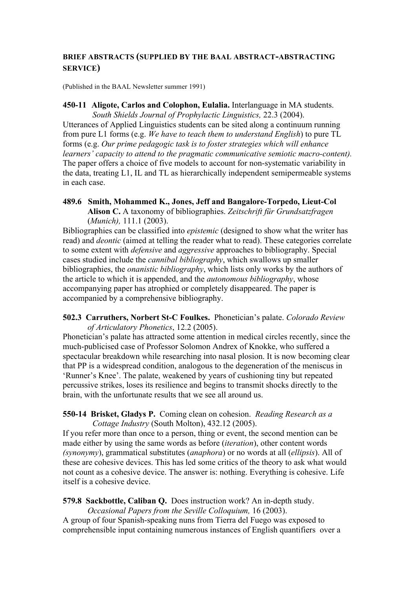## **BRIEF ABSTRACTS (SUPPLIED BY THE BAAL ABSTRACT-ABSTRACTING SERVICE)**

(Published in the BAAL Newsletter summer 1991)

**450-11 Aligote, Carlos and Colophon, Eulalia.** Interlanguage in MA students. *South Shields Journal of Prophylactic Linguistics,* 22.3 (2004). Utterances of Applied Linguistics students can be sited along a continuum running from pure L1 forms (e.g. *We have to teach them to understand English*) to pure TL forms (e.g. *Our prime pedagogic task is to foster strategies which will enhance learners' capacity to attend to the pragmatic communicative semiotic macro-content).*  The paper offers a choice of five models to account for non-systematic variability in the data, treating L1, IL and TL as hierarchically independent semipermeable systems in each case.

**489.6 Smith, Mohammed K., Jones, Jeff and Bangalore-Torpedo, Lieut-Col Alison C.** A taxonomy of bibliographies. *Zeitschrift für Grundsatzfragen*  (*Munich),* 111.1 (2003).

Bibliographies can be classified into *epistemic* (designed to show what the writer has read) and *deontic* (aimed at telling the reader what to read). These categories correlate to some extent with *defensive* and *aggressive* approaches to bibliography. Special cases studied include the *cannibal bibliography*, which swallows up smaller bibliographies, the *onanistic bibliography*, which lists only works by the authors of the article to which it is appended, and the *autonomous bibliography*, whose accompanying paper has atrophied or completely disappeared. The paper is accompanied by a comprehensive bibliography.

**502.3 Carruthers, Norbert St-C Foulkes.** Phonetician's palate. *Colorado Review of Articulatory Phonetics*, 12.2 (2005).

Phonetician's palate has attracted some attention in medical circles recently, since the much-publicised case of Professor Solomon Andrex of Knokke, who suffered a spectacular breakdown while researching into nasal plosion. It is now becoming clear that PP is a widespread condition, analogous to the degeneration of the meniscus in 'Runner's Knee'. The palate, weakened by years of cushioning tiny but repeated percussive strikes, loses its resilience and begins to transmit shocks directly to the brain, with the unfortunate results that we see all around us.

## **550-14 Brisket, Gladys P.** Coming clean on cohesion. *Reading Research as a Cottage Industry* (South Molton), 432.12 (2005).

If you refer more than once to a person, thing or event, the second mention can be made either by using the same words as before (*iteration*), other content words *(synonymy*), grammatical substitutes (*anaphora*) or no words at all (*ellipsis*). All of these are cohesive devices. This has led some critics of the theory to ask what would not count as a cohesive device. The answer is: nothing. Everything is cohesive. Life itself is a cohesive device.

**579.8 Sackbottle, Caliban Q.** Does instruction work? An in-depth study.

*Occasional Papers from the Seville Colloquium,* 16 (2003). A group of four Spanish-speaking nuns from Tierra del Fuego was exposed to comprehensible input containing numerous instances of English quantifiers over a